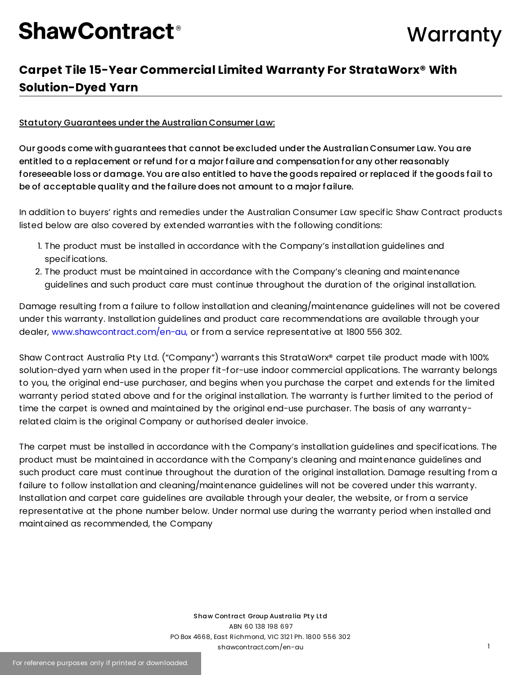### **Warranty**

### **Carpet Tile 15-Year Commercial Limited Warranty For StrataWorx® With Solution-Dyed Yarn**

#### Statutory Guarantees under the Australian Consumer Law:

Our goods come with guarantees that cannot be excluded under the Australian Consumer Law. You are entitled to a replacement or refund for a major failure and compensation for any other reasonably foreseeable loss or damage. You are also entitled to have the goods repaired or replaced if the goods fail to be of acceptable quality and the failure does not amount to a major failure.

In addition to buyers' rights and remedies under the Australian Consumer Law specific Shaw Contract products listed below are also covered by extended warranties with the following conditions:

- 1. The product must be installed in accordance with the Company's installation guidelines and specifications.
- 2. The product must be maintained in accordance with the Company's cleaning and maintenance guidelines and such product care must continue throughout the duration of the original installation.

Damage resulting from a failure to follow installation and cleaning/maintenance guidelines will not be covered under this warranty. Installation guidelines and product care recommendations are available through your dealer, [www.shawcontract.com/en-au,](http://www.shawcontract.com/en-au) or from a service representative at 1800 556 302.

Shaw Contract Australia Pty Ltd. ("Company") warrants this StrataWorx® carpet tile product made with 100% solution-dyed yarn when used in the proper fit-for-use indoor commercial applications. The warranty belongs to you, the original end-use purchaser, and begins when you purchase the carpet and extends for the limited warranty period stated above and for the original installation. The warranty is further limited to the period of time the carpet is owned and maintained by the original end-use purchaser. The basis of any warrantyrelated claim is the original Company or authorised dealer invoice.

The carpet must be installed in accordance with the Company's installation guidelines and specifications. The product must be maintained in accordance with the Company's cleaning and maintenance guidelines and such product care must continue throughout the duration of the original installation. Damage resulting from a failure to follow installation and cleaning/maintenance guidelines will not be covered under this warranty. Installation and carpet care guidelines are available through your dealer, the website, or from a service representative at the phone number below. Under normal use during the warranty period when installed and maintained as recommended, the Company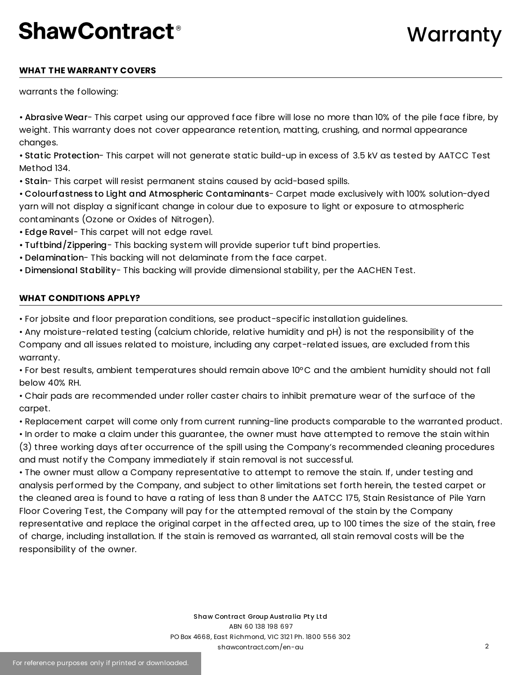### **Warranty**

#### **WHAT THE WARRANTY COVERS**

warrants the following:

• Abrasive Wear- This carpet using our approved face fibre will lose no more than 10% of the pile face fibre, by weight. This warranty does not cover appearance retention, matting, crushing, and normal appearance changes.

• Static Protection- This carpet will not generate static build-up in excess of 3.5 kV as tested by AATCC Test Method 134.

• Stain- This carpet will resist permanent stains caused by acid-based spills.

• Colourfastness to Light and Atmospheric Contaminants- Carpet made exclusively with 100% solution-dyed yarn will not display a significant change in colour due to exposure to light or exposure to atmospheric contaminants (Ozone or Oxides of Nitrogen).

• Edge Ravel- This carpet will not edge ravel.

- Tuftbind/Zippering- This backing system will provide superior tuft bind properties.
- Delamination- This backing will not delaminate from the face carpet.
- Dimensional Stability- This backing will provide dimensional stability, per the AACHEN Test.

#### **WHAT CONDITIONS APPLY?**

• For jobsite and floor preparation conditions, see product-specific installation guidelines.

• Any moisture-related testing (calcium chloride, relative humidity and pH) is not the responsibility of the Company and all issues related to moisture, including any carpet-related issues, are excluded from this warranty.

• For best results, ambient temperatures should remain above 10°C and the ambient humidity should not fall below 40% RH.

• Chair pads are recommended under roller caster chairs to inhibit premature wear of the surface of the carpet.

• Replacement carpet will come only from current running-line products comparable to the warranted product.

• In order to make a claim under this guarantee, the owner must have attempted to remove the stain within (3) three working days after occurrence of the spill using the Company's recommended cleaning procedures and must notify the Company immediately if stain removal is not successful.

• The owner must allow a Company representative to attempt to remove the stain. If, under testing and analysis performed by the Company, and subject to other limitations set forth herein, the tested carpet or the cleaned area is found to have a rating of less than 8 under the AATCC 175, Stain Resistance of Pile Yarn Floor Covering Test, the Company will pay for the attempted removal of the stain by the Company representative and replace the original carpet in the affected area, up to 100 times the size of the stain, free of charge, including installation. If the stain is removed as warranted, all stain removal costs will be the responsibility of the owner.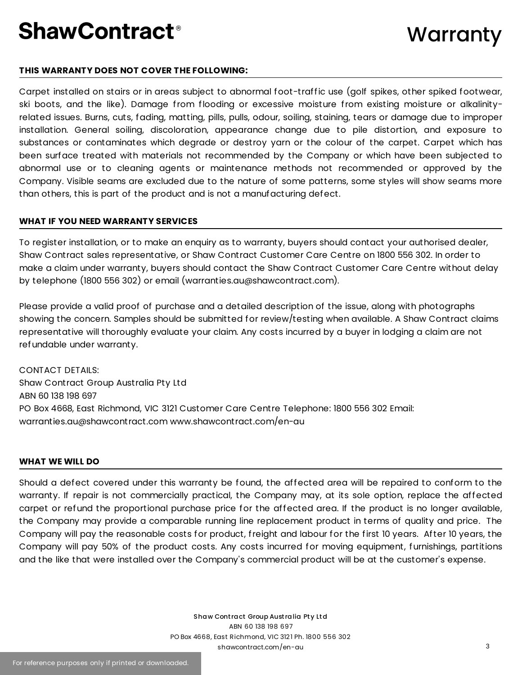#### **THIS WARRANTY DOES NOT COVER THE FOLLOWING:**

Carpet installed on stairs or in areas subject to abnormal foot-traffic use (golf spikes, other spiked footwear, ski boots, and the like). Damage from flooding or excessive moisture from existing moisture or alkalinityrelated issues. Burns, cuts, fading, matting, pills, pulls, odour, soiling, staining, tears or damage due to improper installation. General soiling, discoloration, appearance change due to pile distortion, and exposure to substances or contaminates which degrade or destroy yarn or the colour of the carpet. Carpet which has been surface treated with materials not recommended by the Company or which have been subjected to abnormal use or to cleaning agents or maintenance methods not recommended or approved by the Company. Visible seams are excluded due to the nature of some patterns, some styles will show seams more than others, this is part of the product and is not a manufacturing defect.

#### **WHAT IF YOU NEED WARRANTY SERVICES**

To register installation, or to make an enquiry as to warranty, buyers should contact your authorised dealer, Shaw Contract sales representative, or Shaw Contract Customer Care Centre on 1800 556 302. In order to make a claim under warranty, buyers should contact the Shaw Contract Customer Care Centre without delay by telephone (1800 556 302) or email (warranties.au@shawcontract.com).

Please provide a valid proof of purchase and a detailed description of the issue, along with photographs showing the concern. Samples should be submitted for review/testing when available. A Shaw Contract claims representative will thoroughly evaluate your claim. Any costs incurred by a buyer in lodging a claim are not refundable under warranty.

CONTACT DETAILS: Shaw Contract Group Australia Pty Ltd ABN 60 138 198 697 PO Box 4668, East Richmond, VIC 3121 Customer Care Centre Telephone: 1800 556 302 Email: warranties.au@shawcontract.com www.shawcontract.com/en-au

#### **WHAT WE WILL DO**

Should a defect covered under this warranty be found, the affected area will be repaired to conform to the warranty. If repair is not commercially practical, the Company may, at its sole option, replace the affected carpet or refund the proportional purchase price for the affected area. If the product is no longer available, the Company may provide a comparable running line replacement product in terms of quality and price. The Company will pay the reasonable costs for product, freight and labour for the first 10 years. After 10 years, the Company will pay 50% of the product costs. Any costs incurred for moving equipment, furnishings, partitions and the like that were installed over the Company's commercial product will be at the customer's expense.